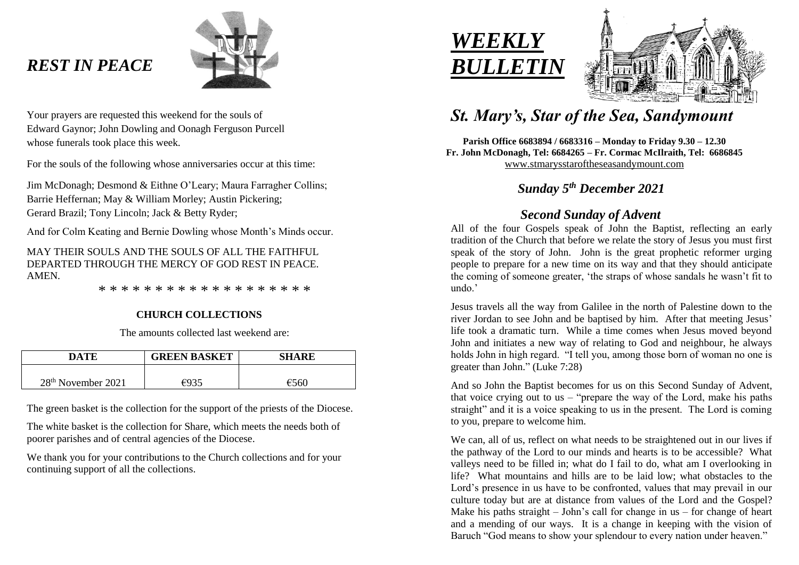## *REST IN PEACE*



Your prayers are requested this weekend for the souls of Edward Gaynor; John Dowling and Oonagh Ferguson Purcell whose funerals took place this week.

For the souls of the following whose anniversaries occur at this time:

Jim McDonagh; Desmond & Eithne O'Leary; Maura Farragher Collins; Barrie Heffernan; May & William Morley; Austin Pickering; Gerard Brazil; Tony Lincoln; Jack & Betty Ryder;

And for Colm Keating and Bernie Dowling whose Month's Minds occur.

MAY THEIR SOULS AND THE SOULS OF ALL THE FAITHFUL DEPARTED THROUGH THE MERCY OF GOD REST IN PEACE. **AMEN** 

\* \* \* \* \* \* \* \* \* \* \* \* \* \* \* \* \* \* \*

#### **CHURCH COLLECTIONS**

The amounts collected last weekend are:

| DATE                           | <b>GREEN BASKET</b> | <b>SHARE</b> |
|--------------------------------|---------------------|--------------|
| 28 <sup>th</sup> November 2021 | $\epsilon$ 935      | f560         |

The green basket is the collection for the support of the priests of the Diocese.

The white basket is the collection for Share, which meets the needs both of poorer parishes and of central agencies of the Diocese.

We thank you for your contributions to the Church collections and for your continuing support of all the collections.





# *St. Mary's, Star of the Sea, Sandymount*

**Parish Office 6683894 / 6683316 – Monday to Friday 9.30 – 12.30 Fr. John McDonagh, Tel: 6684265 – Fr. Cormac McIlraith, Tel: 6686845** [www.stmarysstaroftheseasandymount.com](http://www.stmarysstaroftheseasandymount.com/)

### *Sunday 5 th December 2021*

### *Second Sunday of Advent*

All of the four Gospels speak of John the Baptist, reflecting an early tradition of the Church that before we relate the story of Jesus you must first speak of the story of John. John is the great prophetic reformer urging people to prepare for a new time on its way and that they should anticipate the coming of someone greater, 'the straps of whose sandals he wasn't fit to undo.'

Jesus travels all the way from Galilee in the north of Palestine down to the river Jordan to see John and be baptised by him. After that meeting Jesus' life took a dramatic turn. While a time comes when Jesus moved beyond John and initiates a new way of relating to God and neighbour, he always holds John in high regard. "I tell you, among those born of woman no one is greater than John." (Luke 7:28)

And so John the Baptist becomes for us on this Second Sunday of Advent, that voice crying out to us  $-$  "prepare the way of the Lord, make his paths straight" and it is a voice speaking to us in the present. The Lord is coming to you, prepare to welcome him.

We can, all of us, reflect on what needs to be straightened out in our lives if the pathway of the Lord to our minds and hearts is to be accessible? What valleys need to be filled in; what do I fail to do, what am I overlooking in life? What mountains and hills are to be laid low; what obstacles to the Lord's presence in us have to be confronted, values that may prevail in our culture today but are at distance from values of the Lord and the Gospel? Make his paths straight – John's call for change in us – for change of heart and a mending of our ways. It is a change in keeping with the vision of Baruch "God means to show your splendour to every nation under heaven."